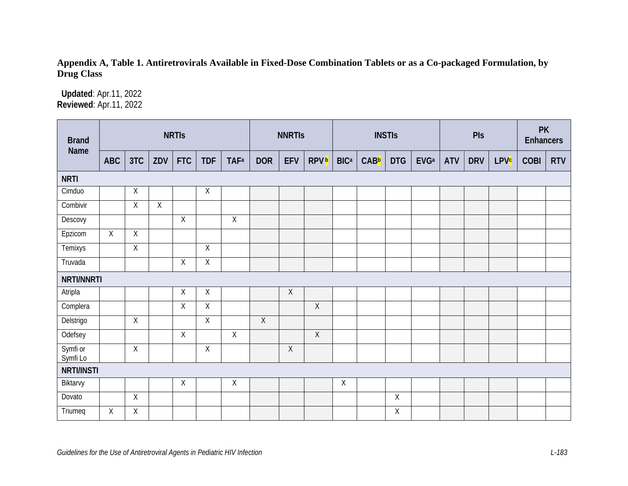## Appendix A, Table 1. Antiretrovirals Available in Fixed-Dose Combination Tablets or as a Co-packaged Formulation, by Drug Class

Updated: Apr.11, 2022 Reviewed: Apr.11, 2022

| <b>Brand</b><br>Name |            |                |                | <b>NRTIS</b> |                |                         | <b>NNRTIS</b>  |             |                         | <b>INSTIS</b> |      |             |                         | Pls        |            |                        | <b>PK</b><br><b>Enhancers</b> |            |
|----------------------|------------|----------------|----------------|--------------|----------------|-------------------------|----------------|-------------|-------------------------|---------------|------|-------------|-------------------------|------------|------------|------------------------|-------------------------------|------------|
|                      | <b>ABC</b> | 3TC            | ZDV            | <b>FTC</b>   | <b>TDF</b>     | <b>TAF</b> <sup>a</sup> | <b>DOR</b>     | <b>EFV</b>  | <b>RPV</b> <sup>b</sup> | <b>BICa</b>   | CABb | <b>DTG</b>  | <b>EVG</b> <sup>a</sup> | <b>ATV</b> | <b>DRV</b> | <b>LPV<sup>c</sup></b> | <b>COBI</b>                   | <b>RTV</b> |
| <b>NRTI</b>          |            |                |                |              |                |                         |                |             |                         |               |      |             |                         |            |            |                        |                               |            |
| Cimduo               |            | Χ              |                |              | $\mathsf X$    |                         |                |             |                         |               |      |             |                         |            |            |                        |                               |            |
| Combivir             |            | $\mathsf X$    | $\overline{X}$ |              |                |                         |                |             |                         |               |      |             |                         |            |            |                        |                               |            |
| Descovy              |            |                |                | $\sf X$      |                | $\sf X$                 |                |             |                         |               |      |             |                         |            |            |                        |                               |            |
| Epzicom              | $\sf X$    | $\sf X$        |                |              |                |                         |                |             |                         |               |      |             |                         |            |            |                        |                               |            |
| Temixys              |            | $\mathsf X$    |                |              | $\mathsf X$    |                         |                |             |                         |               |      |             |                         |            |            |                        |                               |            |
| Truvada              |            |                |                | $\mathsf X$  | Χ              |                         |                |             |                         |               |      |             |                         |            |            |                        |                               |            |
| NRTI/NNRTI           |            |                |                |              |                |                         |                |             |                         |               |      |             |                         |            |            |                        |                               |            |
| Atripla              |            |                |                | $\mathsf X$  | $\mathsf{X}$   |                         |                | $\sf X$     |                         |               |      |             |                         |            |            |                        |                               |            |
| Complera             |            |                |                | $\sf X$      | $\mathsf X$    |                         |                |             | $\overline{X}$          |               |      |             |                         |            |            |                        |                               |            |
| Delstrigo            |            | $\mathsf X$    |                |              | $\overline{X}$ |                         | $\overline{X}$ |             |                         |               |      |             |                         |            |            |                        |                               |            |
| Odefsey              |            |                |                | $\mathsf X$  |                | $\overline{X}$          |                |             | $\overline{X}$          |               |      |             |                         |            |            |                        |                               |            |
| Symfi or<br>Symfi Lo |            | $\mathsf X$    |                |              | $\overline{X}$ |                         |                | $\mathsf X$ |                         |               |      |             |                         |            |            |                        |                               |            |
| <b>NRTI/INSTI</b>    |            |                |                |              |                |                         |                |             |                         |               |      |             |                         |            |            |                        |                               |            |
| Biktarvy             |            |                |                | Χ            |                | Χ                       |                |             |                         | $\sf X$       |      |             |                         |            |            |                        |                               |            |
| Dovato               |            | $\overline{X}$ |                |              |                |                         |                |             |                         |               |      | $\mathsf X$ |                         |            |            |                        |                               |            |
| Triumeq              | Χ          | Χ              |                |              |                |                         |                |             |                         |               |      | Χ           |                         |            |            |                        |                               |            |